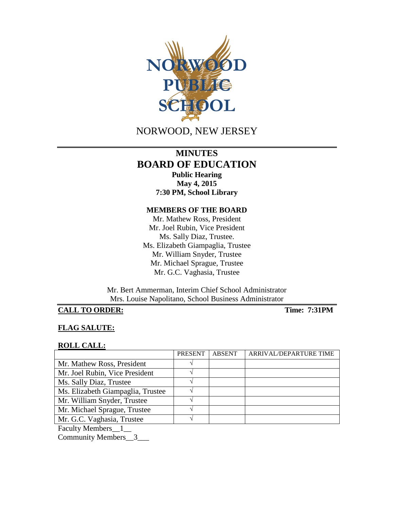

# NORWOOD, NEW JERSEY

## **MINUTES BOARD OF EDUCATION Public Hearing**

**May 4, 2015 7:30 PM, School Library**

## **MEMBERS OF THE BOARD**

Mr. Mathew Ross, President Mr. Joel Rubin, Vice President Ms. Sally Diaz, Trustee. Ms. Elizabeth Giampaglia, Trustee Mr. William Snyder, Trustee Mr. Michael Sprague, Trustee Mr. G.C. Vaghasia, Trustee

Mr. Bert Ammerman, Interim Chief School Administrator Mrs. Louise Napolitano, School Business Administrator

## **CALL TO ORDER: Time: 7:31PM**

#### **FLAG SALUTE:**

#### **ROLL CALL:**

|                                   | <b>PRESENT</b> | <b>ABSENT</b> | ARRIVAL/DEPARTURE TIME |
|-----------------------------------|----------------|---------------|------------------------|
| Mr. Mathew Ross, President        |                |               |                        |
| Mr. Joel Rubin, Vice President    |                |               |                        |
| Ms. Sally Diaz, Trustee           |                |               |                        |
| Ms. Elizabeth Giampaglia, Trustee |                |               |                        |
| Mr. William Snyder, Trustee       |                |               |                        |
| Mr. Michael Sprague, Trustee      |                |               |                        |
| Mr. G.C. Vaghasia, Trustee        |                |               |                        |
| <b>Faculty Members</b>            |                |               |                        |

Community Members\_\_3\_\_\_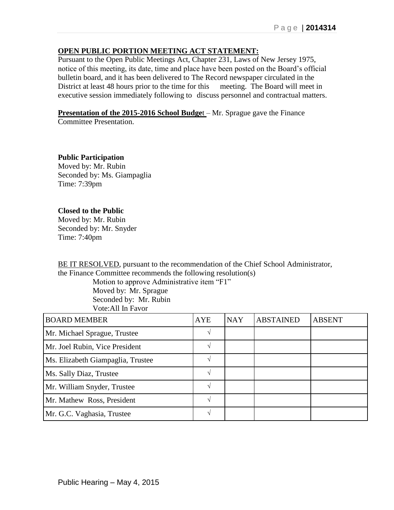### **OPEN PUBLIC PORTION MEETING ACT STATEMENT:**

Pursuant to the Open Public Meetings Act, Chapter 231, Laws of New Jersey 1975, notice of this meeting, its date, time and place have been posted on the Board's official bulletin board, and it has been delivered to The Record newspaper circulated in the District at least 48 hours prior to the time for this meeting. The Board will meet in executive session immediately following to discuss personnel and contractual matters.

**Presentation of the 2015-2016 School Budget** – Mr. Sprague gave the Finance

Committee Presentation.

**Public Participation** Moved by: Mr. Rubin Seconded by: Ms. Giampaglia Time: 7:39pm

### **Closed to the Public**

Moved by: Mr. Rubin Seconded by: Mr. Snyder Time: 7:40pm

BE IT RESOLVED, pursuant to the recommendation of the Chief School Administrator, the Finance Committee recommends the following resolution(s)

> Motion to approve Administrative item "F1" Moved by: Mr. Sprague Seconded by: Mr. Rubin Vote:All In Favor

| <b>BOARD MEMBER</b>               | <b>AYE</b> | <b>NAY</b> | <b>ABSTAINED</b> | <b>ABSENT</b> |
|-----------------------------------|------------|------------|------------------|---------------|
| Mr. Michael Sprague, Trustee      |            |            |                  |               |
| Mr. Joel Rubin, Vice President    |            |            |                  |               |
| Ms. Elizabeth Giampaglia, Trustee |            |            |                  |               |
| Ms. Sally Diaz, Trustee           |            |            |                  |               |
| Mr. William Snyder, Trustee       |            |            |                  |               |
| Mr. Mathew Ross, President        |            |            |                  |               |
| Mr. G.C. Vaghasia, Trustee        |            |            |                  |               |